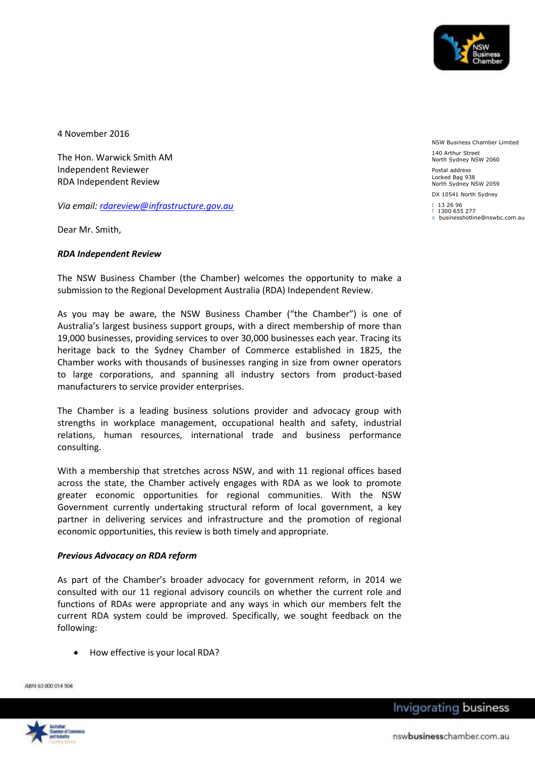

4 November 2016

The Hon. Warwick Smith AM Independent Reviewer RDA Independent Review

*Via email: [rdareview@infrastructure.gov.au](mailto:rdareview@infrastructure.gov.au)*

Dear Mr. Smith,

### *RDA Independent Review*

The NSW Business Chamber (the Chamber) welcomes the opportunity to make a submission to the Regional Development Australia (RDA) Independent Review.

As you may be aware, the NSW Business Chamber ("the Chamber") is one of Australia's largest business support groups, with a direct membership of more than 19,000 businesses, providing services to over 30,000 businesses each year. Tracing its heritage back to the Sydney Chamber of Commerce established in 1825, the Chamber works with thousands of businesses ranging in size from owner operators to large corporations, and spanning all industry sectors from product-based manufacturers to service provider enterprises.

The Chamber is a leading business solutions provider and advocacy group with strengths in workplace management, occupational health and safety, industrial relations, human resources, international trade and business performance consulting.

With a membership that stretches across NSW, and with 11 regional offices based across the state, the Chamber actively engages with RDA as we look to promote greater economic opportunities for regional communities. With the NSW Government currently undertaking structural reform of local government, a key partner in delivering services and infrastructure and the promotion of regional economic opportunities, this review is both timely and appropriate.

### *Previous Advocacy on RDA reform*

As part of the Chamber's broader advocacy for government reform, in 2014 we consulted with our 11 regional advisory councils on whether the current role and functions of RDAs were appropriate and any ways in which our members felt the current RDA system could be improved. Specifically, we sought feedback on the following:

How effective is your local RDA?

ABN 63 000 014 504



NSW Business Chamber Limited

140 Arthur Street North Sydney NSW 2060

Postal address Locked Bag 938 North Sydney NSW 2059

DX 10541 North Sydney

t 13 26 96 f 1300 655 277 e businesshotline@nswbc.com.au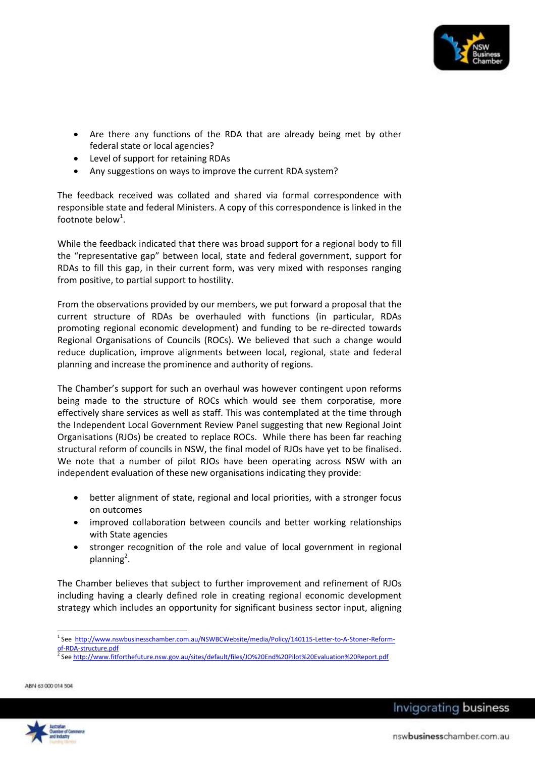

- Are there any functions of the RDA that are already being met by other federal state or local agencies?
- Level of support for retaining RDAs
- Any suggestions on ways to improve the current RDA system?

The feedback received was collated and shared via formal correspondence with responsible state and federal Ministers. A copy of this correspondence is linked in the footnote below<sup>1</sup>.

While the feedback indicated that there was broad support for a regional body to fill the "representative gap" between local, state and federal government, support for RDAs to fill this gap, in their current form, was very mixed with responses ranging from positive, to partial support to hostility.

From the observations provided by our members, we put forward a proposal that the current structure of RDAs be overhauled with functions (in particular, RDAs promoting regional economic development) and funding to be re-directed towards Regional Organisations of Councils (ROCs). We believed that such a change would reduce duplication, improve alignments between local, regional, state and federal planning and increase the prominence and authority of regions.

The Chamber's support for such an overhaul was however contingent upon reforms being made to the structure of ROCs which would see them corporatise, more effectively share services as well as staff. This was contemplated at the time through the Independent Local Government Review Panel suggesting that new Regional Joint Organisations (RJOs) be created to replace ROCs. While there has been far reaching structural reform of councils in NSW, the final model of RJOs have yet to be finalised. We note that a number of pilot RJOs have been operating across NSW with an independent evaluation of these new organisations indicating they provide:

- better alignment of state, regional and local priorities, with a stronger focus on outcomes
- improved collaboration between councils and better working relationships with State agencies
- stronger recognition of the role and value of local government in regional planning<sup>2</sup>.

The Chamber believes that subject to further improvement and refinement of RJOs including having a clearly defined role in creating regional economic development strategy which includes an opportunity for significant business sector input, aligning

ABN 63 000 014 504

 $\overline{a}$ 



<sup>1</sup> See [http://www.nswbusinesschamber.com.au/NSWBCWebsite/media/Policy/140115-Letter-to-A-Stoner-Reform](http://www.nswbusinesschamber.com.au/NSWBCWebsite/media/Policy/140115-Letter-to-A-Stoner-Reform-of-RDA-structure.pdf)[of-RDA-structure.pdf](http://www.nswbusinesschamber.com.au/NSWBCWebsite/media/Policy/140115-Letter-to-A-Stoner-Reform-of-RDA-structure.pdf)

<sup>2</sup> Se[e http://www.fitforthefuture.nsw.gov.au/sites/default/files/JO%20End%20Pilot%20Evaluation%20Report.pdf](http://www.fitforthefuture.nsw.gov.au/sites/default/files/JO%20End%20Pilot%20Evaluation%20Report.pdf)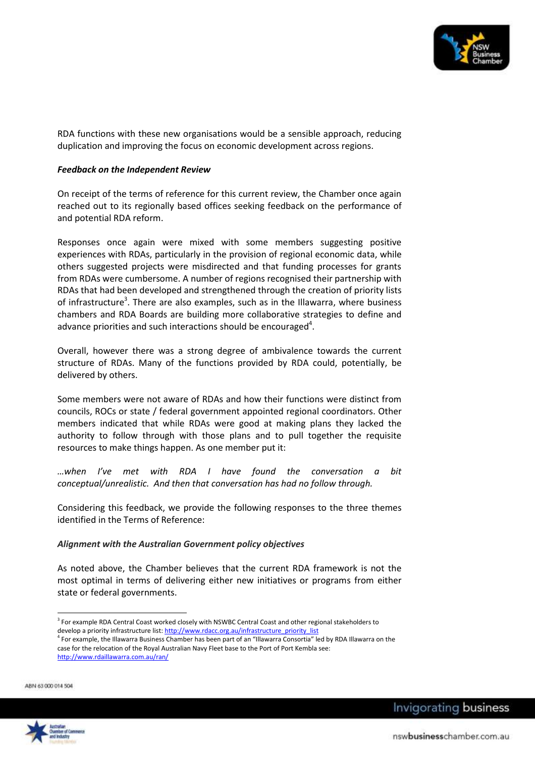

RDA functions with these new organisations would be a sensible approach, reducing duplication and improving the focus on economic development across regions.

## *Feedback on the Independent Review*

On receipt of the terms of reference for this current review, the Chamber once again reached out to its regionally based offices seeking feedback on the performance of and potential RDA reform.

Responses once again were mixed with some members suggesting positive experiences with RDAs, particularly in the provision of regional economic data, while others suggested projects were misdirected and that funding processes for grants from RDAs were cumbersome. A number of regions recognised their partnership with RDAs that had been developed and strengthened through the creation of priority lists of infrastructure<sup>3</sup>. There are also examples, such as in the Illawarra, where business chambers and RDA Boards are building more collaborative strategies to define and advance priorities and such interactions should be encouraged $^4$ .

Overall, however there was a strong degree of ambivalence towards the current structure of RDAs. Many of the functions provided by RDA could, potentially, be delivered by others.

Some members were not aware of RDAs and how their functions were distinct from councils, ROCs or state / federal government appointed regional coordinators. Other members indicated that while RDAs were good at making plans they lacked the authority to follow through with those plans and to pull together the requisite resources to make things happen. As one member put it:

*…when I've met with RDA I have found the conversation a bit conceptual/unrealistic. And then that conversation has had no follow through.*

Considering this feedback, we provide the following responses to the three themes identified in the Terms of Reference:

# *Alignment with the Australian Government policy objectives*

As noted above, the Chamber believes that the current RDA framework is not the most optimal in terms of delivering either new initiatives or programs from either state or federal governments.

ABN 63 000 014 504



 $\overline{a}$ <sup>3</sup> For example RDA Central Coast worked closely with NSWBC Central Coast and other regional stakeholders to develop a priority infrastructure list[: http://www.rdacc.org.au/infrastructure\\_priority\\_list](http://www.rdacc.org.au/infrastructure_priority_list)

<sup>4</sup> For example, the Illawarra Business Chamber has been part of an "Illawarra Consortia" led by RDA Illawarra on the case for the relocation of the Royal Australian Navy Fleet base to the Port of Port Kembla see: <http://www.rdaillawarra.com.au/ran/>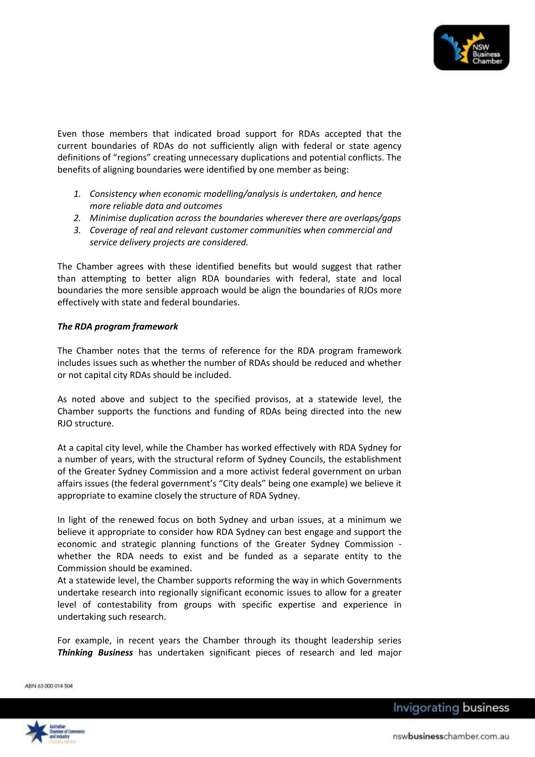

Even those members that indicated broad support for RDAs accepted that the current boundaries of RDAs do not sufficiently align with federal or state agency definitions of "regions" creating unnecessary duplications and potential conflicts. The benefits of aligning boundaries were identified by one member as being:

- *1. Consistency when economic modelling/analysis is undertaken, and hence more reliable data and outcomes*
- *2. Minimise duplication across the boundaries wherever there are overlaps/gaps*
- *3. Coverage of real and relevant customer communities when commercial and service delivery projects are considered.*

The Chamber agrees with these identified benefits but would suggest that rather than attempting to better align RDA boundaries with federal, state and local boundaries the more sensible approach would be align the boundaries of RJOs more effectively with state and federal boundaries.

## *The RDA program framework*

The Chamber notes that the terms of reference for the RDA program framework includes issues such as whether the number of RDAs should be reduced and whether or not capital city RDAs should be included.

As noted above and subject to the specified provisos, at a statewide level, the Chamber supports the functions and funding of RDAs being directed into the new RJO structure.

At a capital city level, while the Chamber has worked effectively with RDA Sydney for a number of years, with the structural reform of Sydney Councils, the establishment of the Greater Sydney Commission and a more activist federal government on urban affairs issues (the federal government's "City deals" being one example) we believe it appropriate to examine closely the structure of RDA Sydney.

In light of the renewed focus on both Sydney and urban issues, at a minimum we believe it appropriate to consider how RDA Sydney can best engage and support the economic and strategic planning functions of the Greater Sydney Commission whether the RDA needs to exist and be funded as a separate entity to the Commission should be examined.

At a statewide level, the Chamber supports reforming the way in which Governments undertake research into regionally significant economic issues to allow for a greater level of contestability from groups with specific expertise and experience in undertaking such research.

For example, in recent years the Chamber through its thought leadership series *Thinking Business* has undertaken significant pieces of research and led major

ABN 63 000 014 504



Invigorating business